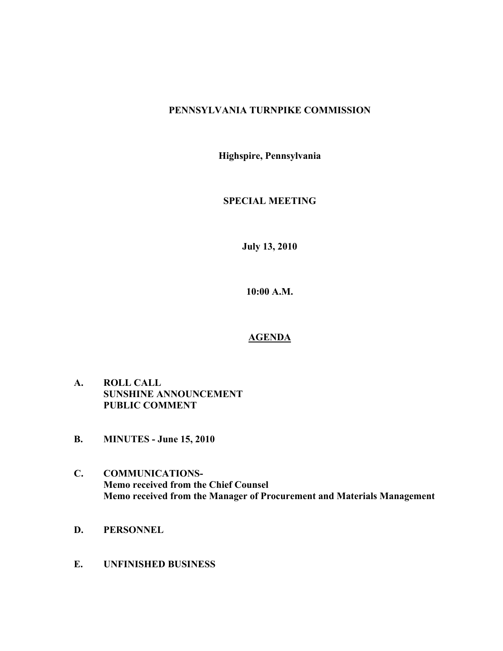# **PENNSYLVANIA TURNPIKE COMMISSION**

**Highspire, Pennsylvania**

# **SPECIAL MEETING**

**July 13, 2010**

**10:00 A.M.**

# **AGENDA**

- **A. ROLL CALL SUNSHINE ANNOUNCEMENT PUBLIC COMMENT**
- **B. MINUTES - June 15, 2010**
- **C. COMMUNICATIONS-Memo received from the Chief Counsel Memo received from the Manager of Procurement and Materials Management**
- **D. PERSONNEL**
- **E. UNFINISHED BUSINESS**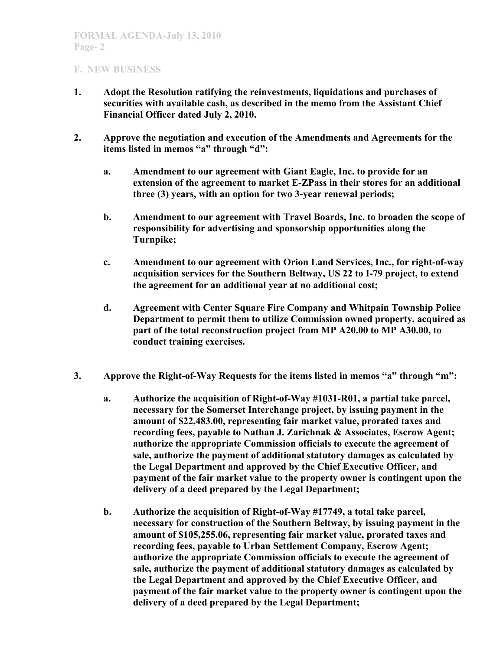- **1. Adopt the Resolution ratifying the reinvestments, liquidations and purchases of securities with available cash, as described in the memo from the Assistant Chief Financial Officer dated July 2, 2010.**
- **2. Approve the negotiation and execution of the Amendments and Agreements for the items listed in memos "a" through "d":**
	- **a. Amendment to our agreement with Giant Eagle, Inc. to provide for an extension of the agreement to market E-ZPass in their stores for an additional three (3) years, with an option for two 3-year renewal periods;**
	- **b. Amendment to our agreement with Travel Boards, Inc. to broaden the scope of responsibility for advertising and sponsorship opportunities along the Turnpike;**
	- **c. Amendment to our agreement with Orion Land Services, Inc., for right-of-way acquisition services for the Southern Beltway, US 22 to I-79 project, to extend the agreement for an additional year at no additional cost;**
	- **d. Agreement with Center Square Fire Company and Whitpain Township Police Department to permit them to utilize Commission owned property, acquired as part of the total reconstruction project from MP A20.00 to MP A30.00, to conduct training exercises.**
- **3. Approve the Right-of-Way Requests for the items listed in memos "a" through "m":**
	- **a. Authorize the acquisition of Right-of-Way #1031-R01, a partial take parcel, necessary for the Somerset Interchange project, by issuing payment in the amount of \$22,483.00, representing fair market value, prorated taxes and recording fees, payable to Nathan J. Zarichnak & Associates, Escrow Agent; authorize the appropriate Commission officials to execute the agreement of sale, authorize the payment of additional statutory damages as calculated by the Legal Department and approved by the Chief Executive Officer, and payment of the fair market value to the property owner is contingent upon the delivery of a deed prepared by the Legal Department;**
	- **b. Authorize the acquisition of Right-of-Way #17749, a total take parcel, necessary for construction of the Southern Beltway, by issuing payment in the amount of \$105,255.06, representing fair market value, prorated taxes and recording fees, payable to Urban Settlement Company, Escrow Agent; authorize the appropriate Commission officials to execute the agreement of sale, authorize the payment of additional statutory damages as calculated by the Legal Department and approved by the Chief Executive Officer, and payment of the fair market value to the property owner is contingent upon the delivery of a deed prepared by the Legal Department;**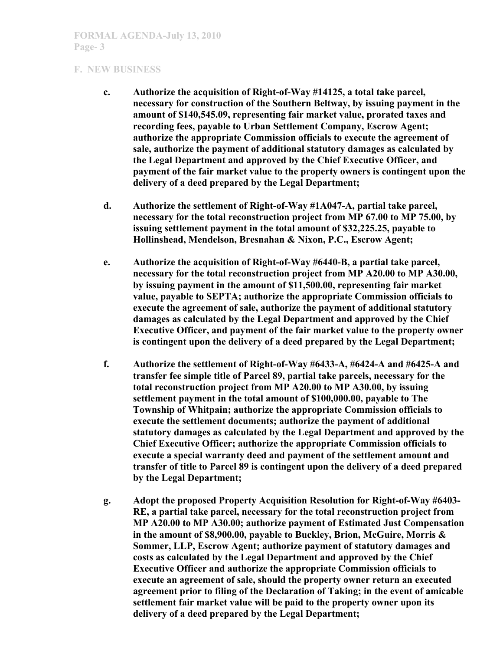- **c. Authorize the acquisition of Right-of-Way #14125, a total take parcel, necessary for construction of the Southern Beltway, by issuing payment in the amount of \$140,545.09, representing fair market value, prorated taxes and recording fees, payable to Urban Settlement Company, Escrow Agent; authorize the appropriate Commission officials to execute the agreement of sale, authorize the payment of additional statutory damages as calculated by the Legal Department and approved by the Chief Executive Officer, and payment of the fair market value to the property owners is contingent upon the delivery of a deed prepared by the Legal Department;**
- **d. Authorize the settlement of Right-of-Way #1A047-A, partial take parcel, necessary for the total reconstruction project from MP 67.00 to MP 75.00, by issuing settlement payment in the total amount of \$32,225.25, payable to Hollinshead, Mendelson, Bresnahan & Nixon, P.C., Escrow Agent;**
- **e. Authorize the acquisition of Right-of-Way #6440-B, a partial take parcel, necessary for the total reconstruction project from MP A20.00 to MP A30.00, by issuing payment in the amount of \$11,500.00, representing fair market value, payable to SEPTA; authorize the appropriate Commission officials to execute the agreement of sale, authorize the payment of additional statutory damages as calculated by the Legal Department and approved by the Chief Executive Officer, and payment of the fair market value to the property owner is contingent upon the delivery of a deed prepared by the Legal Department;**
- **f. Authorize the settlement of Right-of-Way #6433-A, #6424-A and #6425-A and transfer fee simple title of Parcel 89, partial take parcels, necessary for the total reconstruction project from MP A20.00 to MP A30.00, by issuing settlement payment in the total amount of \$100,000.00, payable to The Township of Whitpain; authorize the appropriate Commission officials to execute the settlement documents; authorize the payment of additional statutory damages as calculated by the Legal Department and approved by the Chief Executive Officer; authorize the appropriate Commission officials to execute a special warranty deed and payment of the settlement amount and transfer of title to Parcel 89 is contingent upon the delivery of a deed prepared by the Legal Department;**
- **g. Adopt the proposed Property Acquisition Resolution for Right-of-Way #6403- RE, a partial take parcel, necessary for the total reconstruction project from MP A20.00 to MP A30.00; authorize payment of Estimated Just Compensation in the amount of \$8,900.00, payable to Buckley, Brion, McGuire, Morris & Sommer, LLP, Escrow Agent; authorize payment of statutory damages and costs as calculated by the Legal Department and approved by the Chief Executive Officer and authorize the appropriate Commission officials to execute an agreement of sale, should the property owner return an executed agreement prior to filing of the Declaration of Taking; in the event of amicable settlement fair market value will be paid to the property owner upon its delivery of a deed prepared by the Legal Department;**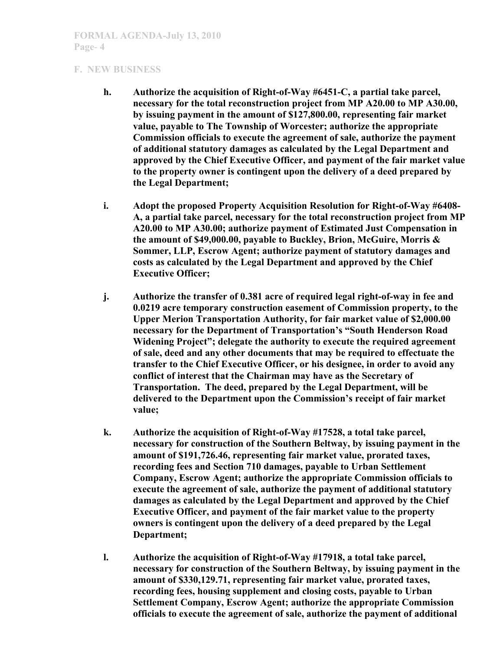- **h. Authorize the acquisition of Right-of-Way #6451-C, a partial take parcel, necessary for the total reconstruction project from MP A20.00 to MP A30.00, by issuing payment in the amount of \$127,800.00, representing fair market value, payable to The Township of Worcester; authorize the appropriate Commission officials to execute the agreement of sale, authorize the payment of additional statutory damages as calculated by the Legal Department and approved by the Chief Executive Officer, and payment of the fair market value to the property owner is contingent upon the delivery of a deed prepared by the Legal Department;**
- **i. Adopt the proposed Property Acquisition Resolution for Right-of-Way #6408- A, a partial take parcel, necessary for the total reconstruction project from MP A20.00 to MP A30.00; authorize payment of Estimated Just Compensation in the amount of \$49,000.00, payable to Buckley, Brion, McGuire, Morris & Sommer, LLP, Escrow Agent; authorize payment of statutory damages and costs as calculated by the Legal Department and approved by the Chief Executive Officer;**
- **j. Authorize the transfer of 0.381 acre of required legal right-of-way in fee and 0.0219 acre temporary construction easement of Commission property, to the Upper Merion Transportation Authority, for fair market value of \$2,000.00 necessary for the Department of Transportation's "South Henderson Road Widening Project"; delegate the authority to execute the required agreement of sale, deed and any other documents that may be required to effectuate the transfer to the Chief Executive Officer, or his designee, in order to avoid any conflict of interest that the Chairman may have as the Secretary of Transportation. The deed, prepared by the Legal Department, will be delivered to the Department upon the Commission's receipt of fair market value;**
- **k. Authorize the acquisition of Right-of-Way #17528, a total take parcel, necessary for construction of the Southern Beltway, by issuing payment in the amount of \$191,726.46, representing fair market value, prorated taxes, recording fees and Section 710 damages, payable to Urban Settlement Company, Escrow Agent; authorize the appropriate Commission officials to execute the agreement of sale, authorize the payment of additional statutory damages as calculated by the Legal Department and approved by the Chief Executive Officer, and payment of the fair market value to the property owners is contingent upon the delivery of a deed prepared by the Legal Department;**
- **l. Authorize the acquisition of Right-of-Way #17918, a total take parcel, necessary for construction of the Southern Beltway, by issuing payment in the amount of \$330,129.71, representing fair market value, prorated taxes, recording fees, housing supplement and closing costs, payable to Urban Settlement Company, Escrow Agent; authorize the appropriate Commission officials to execute the agreement of sale, authorize the payment of additional**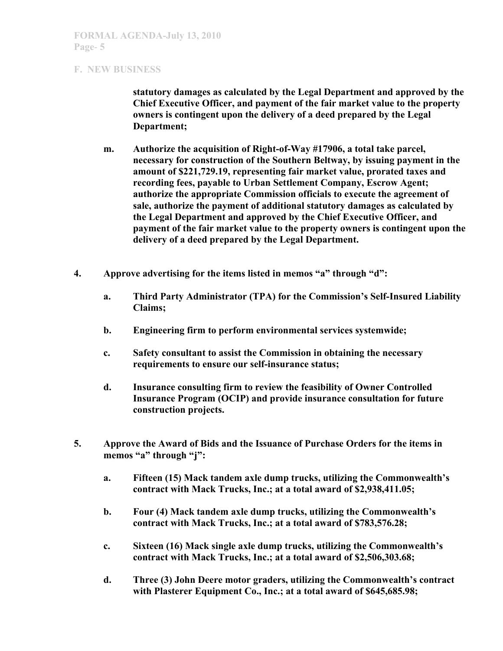**statutory damages as calculated by the Legal Department and approved by the Chief Executive Officer, and payment of the fair market value to the property owners is contingent upon the delivery of a deed prepared by the Legal Department;**

- **m. Authorize the acquisition of Right-of-Way #17906, a total take parcel, necessary for construction of the Southern Beltway, by issuing payment in the amount of \$221,729.19, representing fair market value, prorated taxes and recording fees, payable to Urban Settlement Company, Escrow Agent; authorize the appropriate Commission officials to execute the agreement of sale, authorize the payment of additional statutory damages as calculated by the Legal Department and approved by the Chief Executive Officer, and payment of the fair market value to the property owners is contingent upon the delivery of a deed prepared by the Legal Department.**
- **4. Approve advertising for the items listed in memos "a" through "d":**
	- **a. Third Party Administrator (TPA) for the Commission's Self-Insured Liability Claims;**
	- **b. Engineering firm to perform environmental services systemwide;**
	- **c. Safety consultant to assist the Commission in obtaining the necessary requirements to ensure our self-insurance status;**
	- **d. Insurance consulting firm to review the feasibility of Owner Controlled Insurance Program (OCIP) and provide insurance consultation for future construction projects.**
- **5. Approve the Award of Bids and the Issuance of Purchase Orders for the items in memos "a" through "j":**
	- **a. Fifteen (15) Mack tandem axle dump trucks, utilizing the Commonwealth's contract with Mack Trucks, Inc.; at a total award of \$2,938,411.05;**
	- **b. Four (4) Mack tandem axle dump trucks, utilizing the Commonwealth's contract with Mack Trucks, Inc.; at a total award of \$783,576.28;**
	- **c. Sixteen (16) Mack single axle dump trucks, utilizing the Commonwealth's contract with Mack Trucks, Inc.; at a total award of \$2,506,303.68;**
	- **d. Three (3) John Deere motor graders, utilizing the Commonwealth's contract with Plasterer Equipment Co., Inc.; at a total award of \$645,685.98;**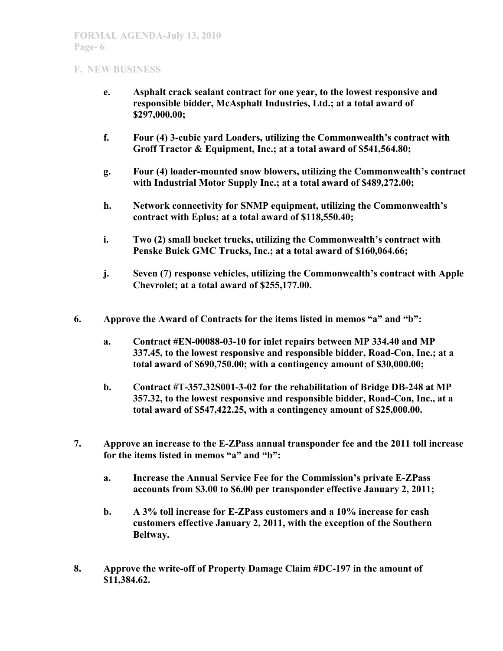- **e. Asphalt crack sealant contract for one year, to the lowest responsive and responsible bidder, McAsphalt Industries, Ltd.; at a total award of \$297,000.00;**
- **f. Four (4) 3-cubic yard Loaders, utilizing the Commonwealth's contract with Groff Tractor & Equipment, Inc.; at a total award of \$541,564.80;**
- **g. Four (4) loader-mounted snow blowers, utilizing the Commonwealth's contract with Industrial Motor Supply Inc.; at a total award of \$489,272.00;**
- **h. Network connectivity for SNMP equipment, utilizing the Commonwealth's contract with Eplus; at a total award of \$118,550.40;**
- **i. Two (2) small bucket trucks, utilizing the Commonwealth's contract with Penske Buick GMC Trucks, Inc.; at a total award of \$160,064.66;**
- **j. Seven (7) response vehicles, utilizing the Commonwealth's contract with Apple Chevrolet; at a total award of \$255,177.00.**
- **6. Approve the Award of Contracts for the items listed in memos "a" and "b":**
	- **a. Contract #EN-00088-03-10 for inlet repairs between MP 334.40 and MP 337.45, to the lowest responsive and responsible bidder, Road-Con, Inc.; at a total award of \$690,750.00; with a contingency amount of \$30,000.00;**
	- **b. Contract #T-357.32S001-3-02 for the rehabilitation of Bridge DB-248 at MP 357.32, to the lowest responsive and responsible bidder, Road-Con, Inc., at a total award of \$547,422.25, with a contingency amount of \$25,000.00.**
- **7. Approve an increase to the E-ZPass annual transponder fee and the 2011 toll increase for the items listed in memos "a" and "b":**
	- **a. Increase the Annual Service Fee for the Commission's private E-ZPass accounts from \$3.00 to \$6.00 per transponder effective January 2, 2011;**
	- **b. A 3% toll increase for E-ZPass customers and a 10% increase for cash customers effective January 2, 2011, with the exception of the Southern Beltway.**
- **8. Approve the write-off of Property Damage Claim #DC-197 in the amount of \$11,384.62.**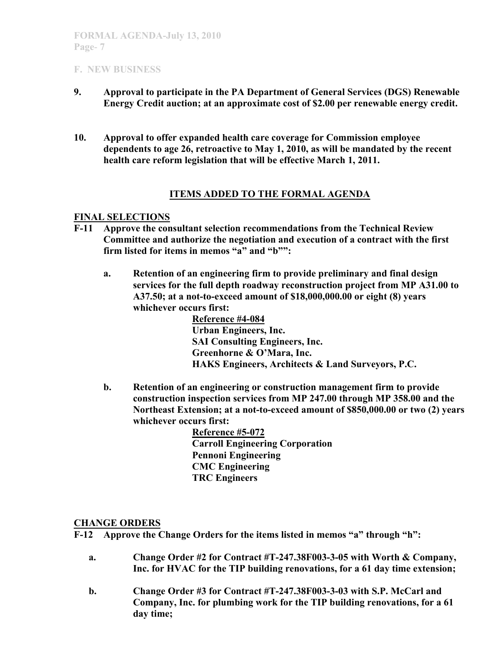- **9. Approval to participate in the PA Department of General Services (DGS) Renewable Energy Credit auction; at an approximate cost of \$2.00 per renewable energy credit.**
- **10. Approval to offer expanded health care coverage for Commission employee dependents to age 26, retroactive to May 1, 2010, as will be mandated by the recent health care reform legislation that will be effective March 1, 2011.**

## **ITEMS ADDED TO THE FORMAL AGENDA**

## **FINAL SELECTIONS**

- **F-11 Approve the consultant selection recommendations from the Technical Review Committee and authorize the negotiation and execution of a contract with the first firm listed for items in memos "a" and "b"":**
	- **a. Retention of an engineering firm to provide preliminary and final design services for the full depth roadway reconstruction project from MP A31.00 to A37.50; at a not-to-exceed amount of \$18,000,000.00 or eight (8) years whichever occurs first:**

**Reference #4-084 Urban Engineers, Inc. SAI Consulting Engineers, Inc. Greenhorne & O'Mara, Inc. HAKS Engineers, Architects & Land Surveyors, P.C.**

**b. Retention of an engineering or construction management firm to provide construction inspection services from MP 247.00 through MP 358.00 and the Northeast Extension; at a not-to-exceed amount of \$850,000.00 or two (2) years whichever occurs first:**

> **Reference #5-072 Carroll Engineering Corporation Pennoni Engineering CMC Engineering TRC Engineers**

## **CHANGE ORDERS**

**F-12 Approve the Change Orders for the items listed in memos "a" through "h":**

- **a. Change Order #2 for Contract #T-247.38F003-3-05 with Worth & Company, Inc. for HVAC for the TIP building renovations, for a 61 day time extension;**
- **b. Change Order #3 for Contract #T-247.38F003-3-03 with S.P. McCarl and Company, Inc. for plumbing work for the TIP building renovations, for a 61 day time;**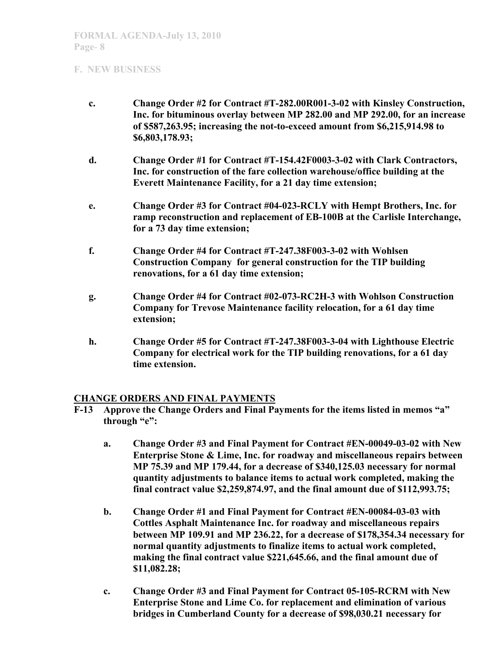- **c. Change Order #2 for Contract #T-282.00R001-3-02 with Kinsley Construction, Inc. for bituminous overlay between MP 282.00 and MP 292.00, for an increase of \$587,263.95; increasing the not-to-exceed amount from \$6,215,914.98 to \$6,803,178.93;**
- **d. Change Order #1 for Contract #T-154.42F0003-3-02 with Clark Contractors, Inc. for construction of the fare collection warehouse/office building at the Everett Maintenance Facility, for a 21 day time extension;**
- **e. Change Order #3 for Contract #04-023-RCLY with Hempt Brothers, Inc. for ramp reconstruction and replacement of EB-100B at the Carlisle Interchange, for a 73 day time extension;**
- **f. Change Order #4 for Contract #T-247.38F003-3-02 with Wohlsen Construction Company for general construction for the TIP building renovations, for a 61 day time extension;**
- **g. Change Order #4 for Contract #02-073-RC2H-3 with Wohlson Construction Company for Trevose Maintenance facility relocation, for a 61 day time extension;**
- **h. Change Order #5 for Contract #T-247.38F003-3-04 with Lighthouse Electric Company for electrical work for the TIP building renovations, for a 61 day time extension.**

#### **CHANGE ORDERS AND FINAL PAYMENTS**

- **F-13 Approve the Change Orders and Final Payments for the items listed in memos "a" through "e":**
	- **a. Change Order #3 and Final Payment for Contract #EN-00049-03-02 with New Enterprise Stone & Lime, Inc. for roadway and miscellaneous repairs between MP 75.39 and MP 179.44, for a decrease of \$340,125.03 necessary for normal quantity adjustments to balance items to actual work completed, making the final contract value \$2,259,874.97, and the final amount due of \$112,993.75;**
	- **b. Change Order #1 and Final Payment for Contract #EN-00084-03-03 with Cottles Asphalt Maintenance Inc. for roadway and miscellaneous repairs between MP 109.91 and MP 236.22, for a decrease of \$178,354.34 necessary for normal quantity adjustments to finalize items to actual work completed, making the final contract value \$221,645.66, and the final amount due of \$11,082.28;**
	- **c. Change Order #3 and Final Payment for Contract 05-105-RCRM with New Enterprise Stone and Lime Co. for replacement and elimination of various bridges in Cumberland County for a decrease of \$98,030.21 necessary for**